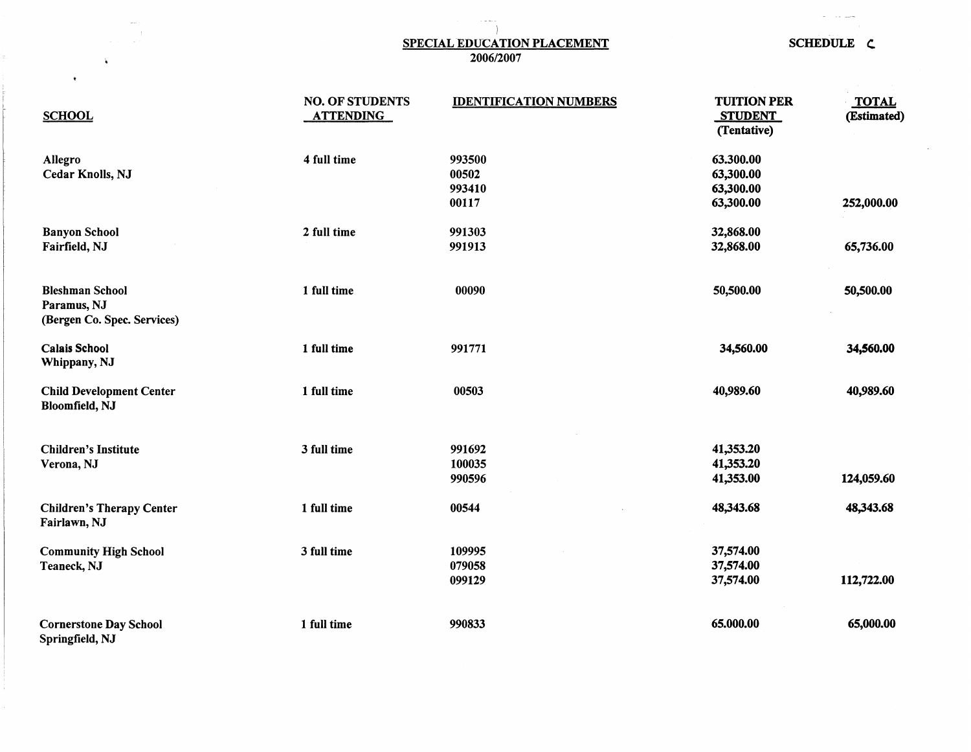## $\vert$ SPECIAL EDUCATION PLACEMENT<br>2006/2007<br>2006/2007

÷.

 $\ddot{\bullet}$ 

 $\bullet$ 

 $\alpha$ 

 $\mathcal{L}^{\text{max}}_{\text{max}}$  . The map

| <b>SCHOOL</b>                                                        | <b>NO. OF STUDENTS</b><br><b>ATTENDING</b> | <b>IDENTIFICATION NUMBERS</b> | <b>TUITION PER</b><br><b>STUDENT</b><br>(Tentative) | <b>TOTAL</b><br>(Estimated) |
|----------------------------------------------------------------------|--------------------------------------------|-------------------------------|-----------------------------------------------------|-----------------------------|
| Allegro                                                              | 4 full time                                | 993500                        | 63.300.00                                           |                             |
| Cedar Knolls, NJ                                                     |                                            | 00502                         | 63,300.00                                           |                             |
|                                                                      |                                            | 993410                        | 63,300.00                                           |                             |
|                                                                      |                                            | 00117                         | 63,300.00                                           | 252,000.00                  |
| <b>Banyon School</b>                                                 | 2 full time                                | 991303                        | 32,868.00                                           |                             |
| Fairfield, NJ                                                        |                                            | 991913                        | 32,868.00                                           | 65,736.00                   |
| <b>Bleshman School</b><br>Paramus, NJ<br>(Bergen Co. Spec. Services) | 1 full time                                | 00090                         | 50,500.00                                           | 50,500.00                   |
| <b>Calais School</b><br>Whippany, NJ                                 | 1 full time                                | 991771                        | 34,560.00                                           | 34,560.00                   |
| <b>Child Development Center</b><br>Bloomfield, NJ                    | 1 full time                                | 00503                         | 40,989.60                                           | 40,989.60                   |
| <b>Children's Institute</b>                                          | 3 full time                                | 991692                        | 41,353.20                                           |                             |
| Verona, NJ                                                           |                                            | 100035                        | 41,353.20                                           |                             |
|                                                                      |                                            | 990596                        | 41,353.00                                           | 124,059.60                  |
| <b>Children's Therapy Center</b><br>Fairlawn, NJ                     | 1 full time                                | 00544                         | 48,343.68                                           | 48,343.68                   |
| <b>Community High School</b>                                         | 3 full time                                | 109995                        | 37,574.00                                           |                             |
| Teaneck, NJ                                                          |                                            | 079058                        | 37,574.00                                           |                             |
|                                                                      |                                            | 099129                        | 37,574.00                                           | 112,722.00                  |
| <b>Cornerstone Day School</b><br>Springfield, NJ                     | 1 full time                                | 990833                        | 65.000.00                                           | 65,000.00                   |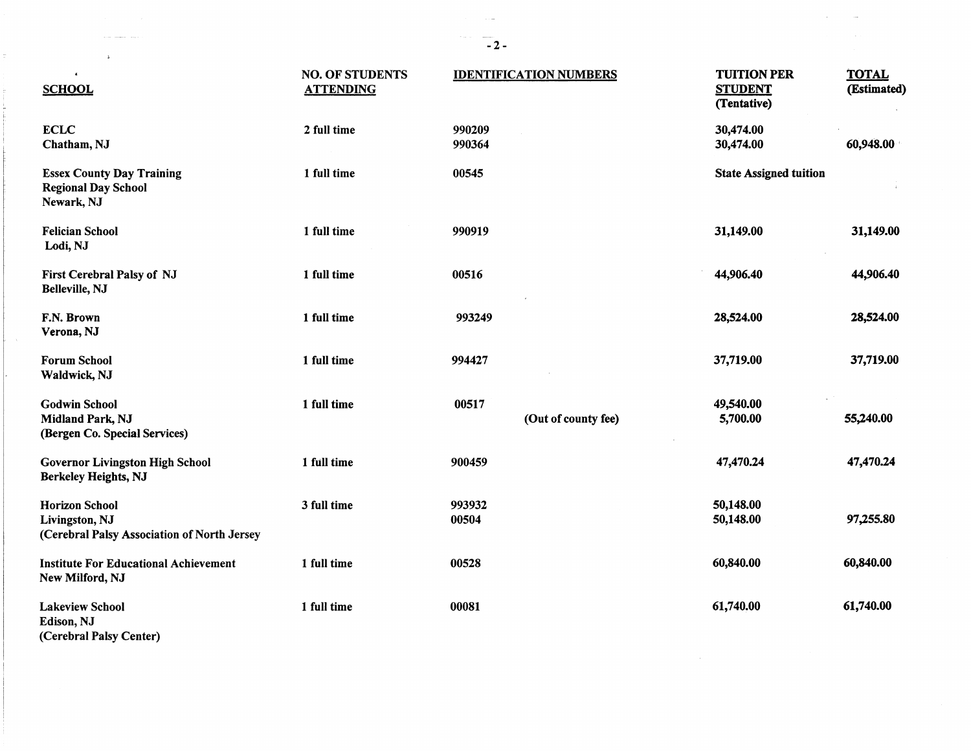| $\Delta$                                                                               |                                            |                               |                                                     |                             |
|----------------------------------------------------------------------------------------|--------------------------------------------|-------------------------------|-----------------------------------------------------|-----------------------------|
| $\epsilon$<br><b>SCHOOL</b>                                                            | <b>NO. OF STUDENTS</b><br><b>ATTENDING</b> | <b>IDENTIFICATION NUMBERS</b> | <b>TUITION PER</b><br><b>STUDENT</b><br>(Tentative) | <b>TOTAL</b><br>(Estimated) |
| <b>ECLC</b><br>Chatham, NJ                                                             | 2 full time                                | 990209<br>990364              | 30,474.00<br>30,474.00                              | 60,948.00                   |
| <b>Essex County Day Training</b><br><b>Regional Day School</b><br>Newark, NJ           | 1 full time                                | 00545                         | <b>State Assigned tuition</b>                       |                             |
| <b>Felician School</b><br>Lodi, NJ                                                     | 1 full time                                | 990919                        | 31,149.00                                           | 31,149.00                   |
| First Cerebral Palsy of NJ<br>Belleville, NJ                                           | 1 full time                                | 00516                         | 44,906.40                                           | 44,906.40                   |
| F.N. Brown<br>Verona, NJ                                                               | 1 full time                                | 993249                        | 28,524.00                                           | 28,524.00                   |
| <b>Forum School</b><br>Waldwick, NJ                                                    | 1 full time                                | 994427                        | 37,719.00                                           | 37,719.00                   |
| <b>Godwin School</b><br>Midland Park, NJ<br>(Bergen Co. Special Services)              | 1 full time                                | 00517<br>(Out of county fee)  | 49,540.00<br>5,700.00                               | 55,240.00                   |
| <b>Governor Livingston High School</b><br>Berkeley Heights, NJ                         | 1 full time                                | 900459                        | 47,470.24                                           | 47,470.24                   |
| <b>Horizon School</b><br>Livingston, NJ<br>(Cerebral Palsy Association of North Jersey | 3 full time                                | 993932<br>00504               | 50,148.00<br>50,148.00                              | 97,255.80                   |
| <b>Institute For Educational Achievement</b><br>New Milford, NJ                        | 1 full time                                | 00528                         | 60,840.00                                           | 60,840.00                   |
| <b>Lakeview School</b><br>Edison, NJ<br>(0, 1, 1, 1, 0, 1, 0, 0, 1, 0, 1)              | 1 full time                                | 00081                         | 61,740.00                                           | 61,740.00                   |

(Cerebral Palsy Center)

 $\mathcal{L}_{\text{max}}$  . The contract  $\mathcal{L}_{\text{max}}$ 

 $\frac{1}{2}$  .

ŧ i<br>T

 $\mathcal{L}^{\text{max}}_{\text{max}}$  , where  $\mathcal{L}^{\text{max}}_{\text{max}}$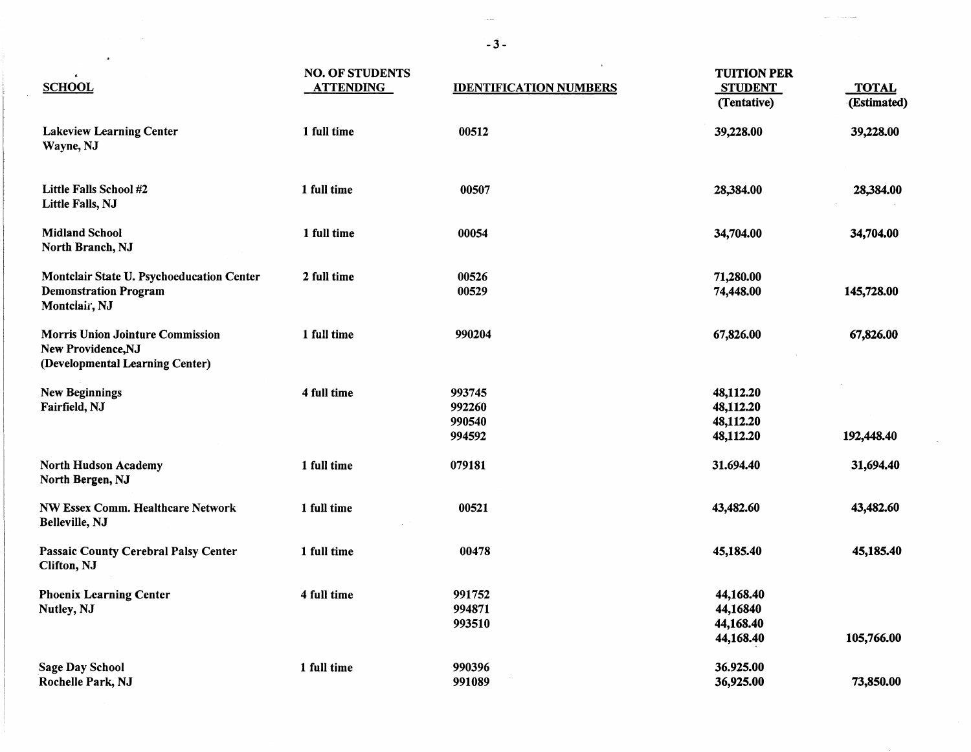| $\epsilon$                                                                                       | <b>NO. OF STUDENTS</b> |                                      | <b>TUITION PER</b>                               |                             |
|--------------------------------------------------------------------------------------------------|------------------------|--------------------------------------|--------------------------------------------------|-----------------------------|
| <b>SCHOOL</b>                                                                                    | <b>ATTENDING</b>       | <b>IDENTIFICATION NUMBERS</b>        | <b>STUDENT</b><br>(Tentative)                    | <b>TOTAL</b><br>(Estimated) |
| <b>Lakeview Learning Center</b><br>Wayne, NJ                                                     | 1 full time            | 00512                                | 39,228.00                                        | 39,228.00                   |
| Little Falls School #2<br>Little Falls, NJ                                                       | 1 full time            | 00507                                | 28,384.00                                        | 28,384.00                   |
| <b>Midland School</b><br>North Branch, NJ                                                        | 1 full time            | 00054                                | 34,704.00                                        | 34,704.00                   |
| Montclair State U. Psychoeducation Center<br><b>Demonstration Program</b><br>Montclair, NJ       | 2 full time            | 00526<br>00529                       | 71,280.00<br>74,448.00                           | 145,728.00                  |
| <b>Morris Union Jointure Commission</b><br>New Providence, NJ<br>(Developmental Learning Center) | 1 full time            | 990204                               | 67,826.00                                        | 67,826.00                   |
| <b>New Beginnings</b><br>Fairfield, NJ                                                           | 4 full time            | 993745<br>992260<br>990540<br>994592 | 48,112.20<br>48,112.20<br>48,112.20<br>48,112.20 | 192,448.40                  |
| North Hudson Academy<br>North Bergen, NJ                                                         | 1 full time            | 079181                               | 31.694.40                                        | 31,694.40                   |
| <b>NW Essex Comm. Healthcare Network</b><br>Belleville, NJ                                       | 1 full time            | 00521                                | 43,482.60                                        | 43,482.60                   |
| Passaic County Cerebral Palsy Center<br>Clifton, NJ                                              | 1 full time            | 00478                                | 45,185.40                                        | 45,185.40                   |
| <b>Phoenix Learning Center</b><br>Nutley, NJ                                                     | 4 full time            | 991752<br>994871<br>993510           | 44,168.40<br>44,16840<br>44,168.40<br>44,168.40  | 105,766.00                  |
| <b>Sage Day School</b><br>Rochelle Park, NJ                                                      | 1 full time            | 990396<br>991089                     | 36.925.00<br>36,925.00                           | 73,850.00                   |

-3-

ilian.

i<br>F

 $\mathcal{L}^{\mathcal{L}}(\mathcal{L}^{\mathcal{L}}(\mathcal{L}^{\mathcal{L}}(\mathcal{L}^{\mathcal{L}}(\mathcal{L}^{\mathcal{L}}(\mathcal{L}^{\mathcal{L}}(\mathcal{L}^{\mathcal{L}}(\mathcal{L}^{\mathcal{L}}(\mathcal{L}^{\mathcal{L}}(\mathcal{L}^{\mathcal{L}}(\mathcal{L}^{\mathcal{L}}(\mathcal{L}^{\mathcal{L}}(\mathcal{L}^{\mathcal{L}}(\mathcal{L}^{\mathcal{L}}(\mathcal{L}^{\mathcal{L}}(\mathcal{L}^{\mathcal{L}}(\mathcal{L}^{\mathcal{L$ 

سيست

 $\Delta \sim 1$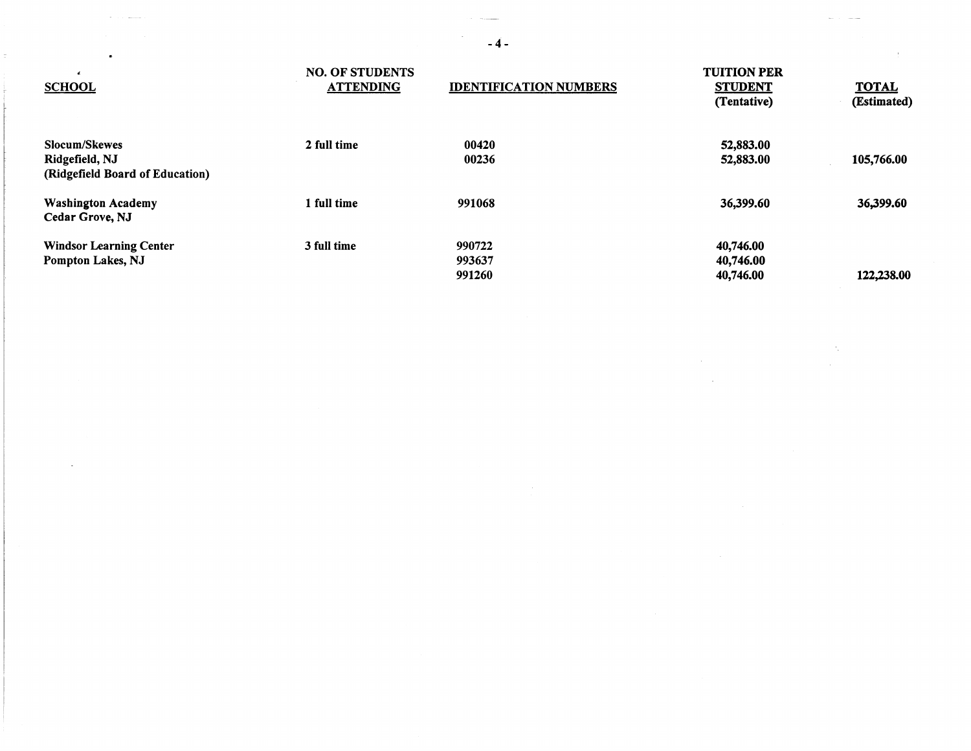| <b>SCHOOL</b>                                                      | <b>NO. OF STUDENTS</b><br><b>ATTENDING</b> | <b>IDENTIFICATION NUMBERS</b> | <b>TUITION PER</b><br><b>STUDENT</b><br>(Tentative) | <b>TOTAL</b><br>(Estimated) |
|--------------------------------------------------------------------|--------------------------------------------|-------------------------------|-----------------------------------------------------|-----------------------------|
| Slocum/Skewes<br>Ridgefield, NJ<br>(Ridgefield Board of Education) | 2 full time                                | 00420<br>00236                | 52,883.00<br>52,883.00                              | 105,766.00                  |
| <b>Washington Academy</b><br>Cedar Grove, NJ                       | 1 full time                                | 991068                        | 36,399.60                                           | 36,399.60                   |
| <b>Windsor Learning Center</b><br>Pompton Lakes, NJ                | 3 full time                                | 990722<br>993637<br>991260    | 40,746.00<br>40,746.00<br>40,746.00                 | 122,238.00                  |

 $-4-$ 

 $\mathcal{L}^{\mathcal{L}}(\mathcal{L}^{\mathcal{L}})$  and  $\mathcal{L}^{\mathcal{L}}(\mathcal{L}^{\mathcal{L}})$  . In the case of

 $\mathcal{L}(\mathcal{L}^{\mathcal{L}})$  and  $\mathcal{L}(\mathcal{L}^{\mathcal{L}})$  . We can consider the  $\mathcal{L}^{\mathcal{L}}$ 

 $\label{eq:2.1} \mathcal{L}(\mathcal{L}^{\mathcal{L}}_{\mathcal{L}}(\mathcal{L}^{\mathcal{L}}_{\mathcal{L}})) = \mathcal{L}(\mathcal{L}^{\mathcal{L}}_{\mathcal{L}}(\mathcal{L}^{\mathcal{L}}_{\mathcal{L}})) = \mathcal{L}(\mathcal{L}^{\mathcal{L}}_{\mathcal{L}}(\mathcal{L}^{\mathcal{L}}_{\mathcal{L}})) = \mathcal{L}(\mathcal{L}^{\mathcal{L}}_{\mathcal{L}}(\mathcal{L}^{\mathcal{L}}_{\mathcal{L}}))$ 

 $\label{eq:2.1} \frac{1}{\sqrt{2}}\int_{\mathbb{R}^3}\frac{1}{\sqrt{2}}\left(\frac{1}{\sqrt{2}}\right)^2\frac{1}{\sqrt{2}}\left(\frac{1}{\sqrt{2}}\right)^2\frac{1}{\sqrt{2}}\left(\frac{1}{\sqrt{2}}\right)^2\frac{1}{\sqrt{2}}\left(\frac{1}{\sqrt{2}}\right)^2.$ 

 $\sigma$  , and  $\sigma$  -masses  $\mu$ 

 $\mathcal{A}^{\mathcal{A}}_{\mathcal{A}}$  and  $\mathcal{A}^{\mathcal{A}}_{\mathcal{A}}$  and  $\mathcal{A}^{\mathcal{A}}_{\mathcal{A}}$ 

 $\mathbf{r}$  and  $\mathbf{r}$  are  $\mathbf{r}$  . The set of  $\mathbf{r}$ 

 $\tau$  .